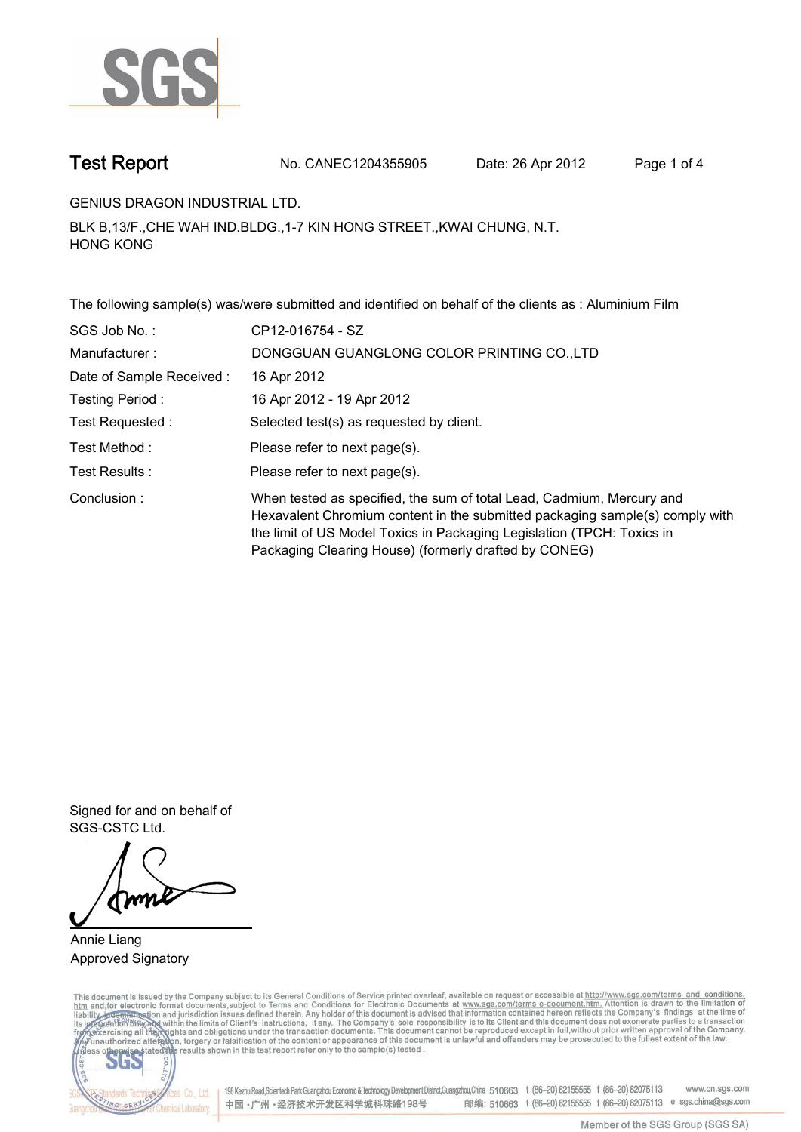

**Test Report. No. CANEC1204355905 Date: 26 Apr 2012. Page 1 of 4.**

**GENIUS DRAGON INDUSTRIAL LTD..**

**BLK B,13/F.,CHE WAH IND.BLDG.,1-7 KIN HONG STREET.,KWAI CHUNG, N.T. HONG KONG.**

**The following sample(s) was/were submitted and identified on behalf of the clients as : Aluminium Film.**

| SGS Job No.:             | CP12-016754 - SZ                                                                                                                                                                                                                                                                         |
|--------------------------|------------------------------------------------------------------------------------------------------------------------------------------------------------------------------------------------------------------------------------------------------------------------------------------|
| Manufacturer:            | DONGGUAN GUANGLONG COLOR PRINTING CO., LTD                                                                                                                                                                                                                                               |
| Date of Sample Received: | 16 Apr 2012                                                                                                                                                                                                                                                                              |
| Testing Period:          | 16 Apr 2012 - 19 Apr 2012                                                                                                                                                                                                                                                                |
| Test Requested :         | Selected test(s) as requested by client.                                                                                                                                                                                                                                                 |
| Test Method :            | Please refer to next page(s).                                                                                                                                                                                                                                                            |
| Test Results :           | Please refer to next page(s).                                                                                                                                                                                                                                                            |
| Conclusion:              | When tested as specified, the sum of total Lead, Cadmium, Mercury and<br>Hexavalent Chromium content in the submitted packaging sample(s) comply with<br>the limit of US Model Toxics in Packaging Legislation (TPCH: Toxics in<br>Packaging Clearing House) (formerly drafted by CONEG) |

**Signed for and on behalf of SGS-CSTC Ltd..**

**Annie Liang. Approved Signatory.**

This document is issued by the Company subject to its General Conditions of Service printed overleaf, available on request or accessible at http://www.sgs.com/terms\_and\_conditions.<br>htm\_and, for electronic format documents,



198 Kezhu Road,Scientech Park Guangzhou Economic & Technology Development District,Guangzhou,China 510663 t (86-20) 82155555 f (86-20) 82075113 www.cn.sgs.com 邮编: 510663 t (86-20) 82155555 f (86-20) 82075113 e sgs.china@sgs.com 中国·广州·经济技术开发区科学城科珠路198号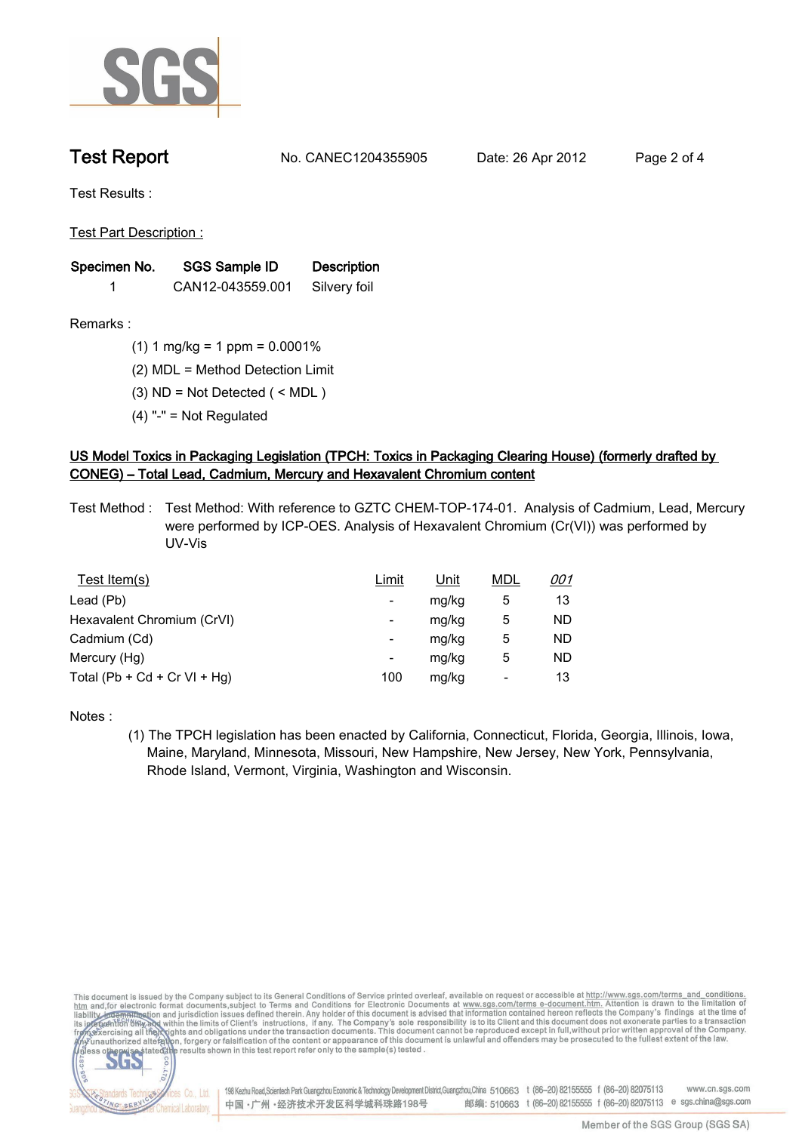

**Test Report. No. CANEC1204355905 Date: 26 Apr 2012. Page 2 of 4.**

**Test Results :.**

**Test Part Description :.**

| Specimen No. | SGS Sample ID    | <b>Description</b> |  |
|--------------|------------------|--------------------|--|
|              | CAN12-043559.001 | Silvery foil       |  |

**Remarks :.(1) 1 mg/kg = 1 ppm = 0.0001%.**

**(2) MDL = Method Detection Limit.**

- **(3) ND = Not Detected ( < MDL ).**
- **(4) "-" = Not Regulated.**

## **US Model Toxics in Packaging Legislation (TPCH: Toxics in Packaging Clearing House) (formerly drafted by CONEG) – Total Lead, Cadmium, Mercury and Hexavalent Chromium content.**

**Test Method :. Test Method: With reference to GZTC CHEM-TOP-174-01. Analysis of Cadmium, Lead, Mercury were performed by ICP-OES. Analysis of Hexavalent Chromium (Cr(VI)) was performed by UV-Vis.**

| Test Item(s)                 | Limit                    | <u>Unit</u> | <b>MDL</b> | <u>001</u> |
|------------------------------|--------------------------|-------------|------------|------------|
| Lead (Pb)                    | ۰                        | mg/kg       | 5          | 13         |
| Hexavalent Chromium (CrVI)   | $\overline{\phantom{a}}$ | mg/kg       | 5          | ND         |
| Cadmium (Cd)                 | $\overline{\phantom{a}}$ | mg/kg       | 5          | <b>ND</b>  |
| Mercury (Hg)                 | ۰                        | mg/kg       | 5          | <b>ND</b>  |
| Total (Pb + Cd + Cr VI + Hg) | 100                      | mg/kg       |            | 13         |

**Notes :.**

**(1) The TPCH legislation has been enacted by California, Connecticut, Florida, Georgia, Illinois, Iowa, Maine, Maryland, Minnesota, Missouri, New Hampshire, New Jersey, New York, Pennsylvania, Rhode Island, Vermont, Virginia, Washington and Wisconsin..**

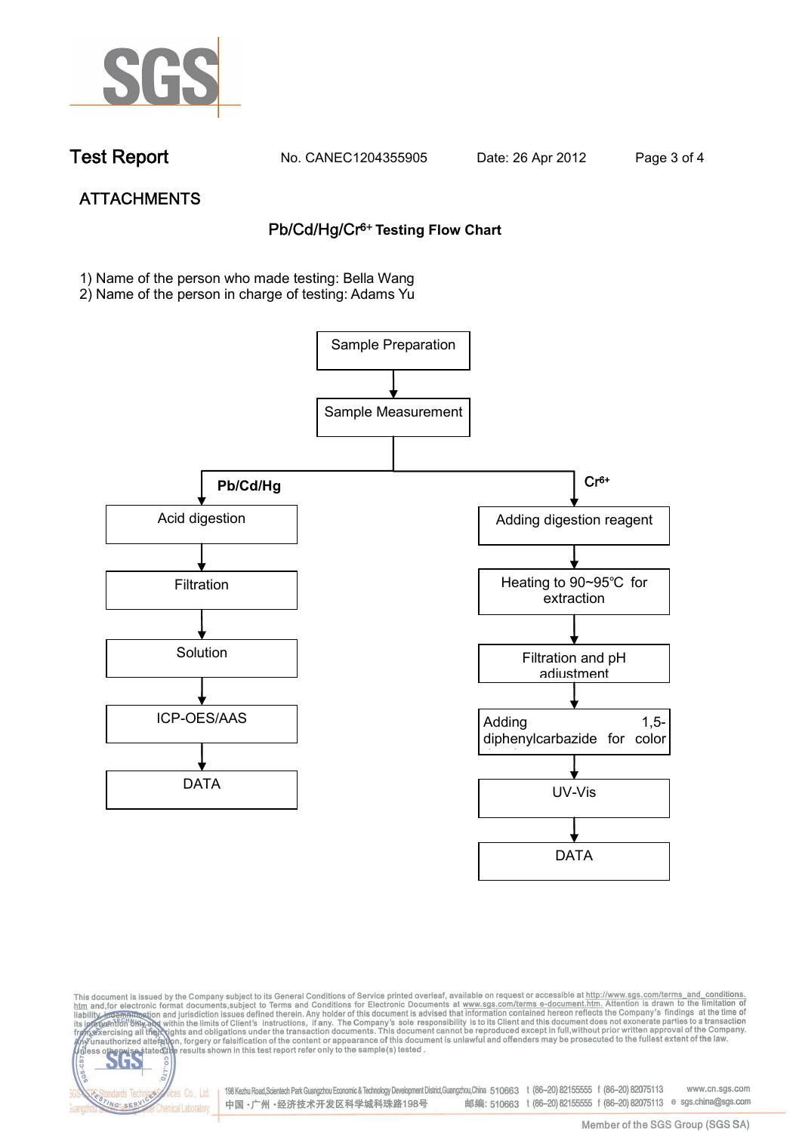

dards Ter

NG SER

vices Co., Ltd.

**Chemical Laboratory** 

**Test Report. No. CANEC1204355905 Date: 26 Apr 2012. Page 3 of 4.**

# **ATTACHMENTS Pb/Cd/Hg/Cr6+ Testing Flow Chart**

**1)** Name of the person who made testing: Bella Wang

2) Name of the person in charge of testing: Adams Yu





198 Kezhu Road,Scientech Park Guangzhou Economic & Technology Development District,Guangzhou,China 510663 t (86-20) 82155555 f (86-20) 82075113 www.cn.sgs.com 邮编: 510663 t (86-20) 82155555 f (86-20) 82075113 e sgs.china@sgs.com 中国·广州·经济技术开发区科学城科珠路198号